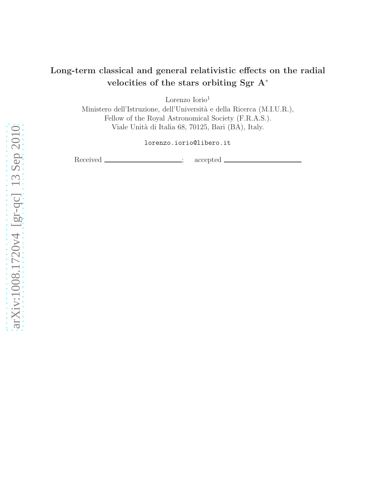# Long-term classical and general relativistic effects on the radial velocities of the stars orbiting Sgr A<sup>∗</sup>

Lorenzo Iorio<sup>1</sup>

Ministero dell'Istruzione, dell'Università e della Ricerca (M.I.U.R.), Fellow of the Royal Astronomical Society (F.R.A.S.). Viale Unità di Italia 68, 70125, Bari (BA), Italy.

lorenzo.iorio@libero.it

Received \_\_\_\_\_\_\_\_\_\_\_\_\_\_\_\_; accepted \_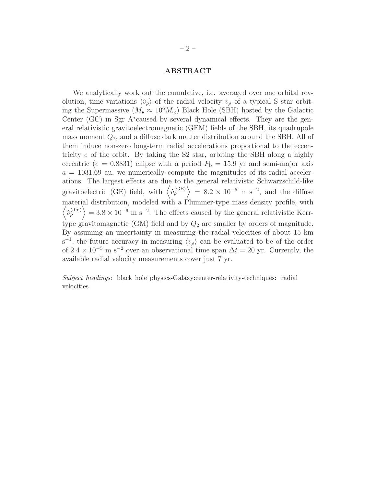## ABSTRACT

We analytically work out the cumulative, i.e. averaged over one orbital revolution, time variations  $\langle v_{\rho} \rangle$  of the radial velocity  $v_{\rho}$  of a typical S star orbiting the Supermassive  $(M_{\bullet} \approx 10^6 M_{\odot})$  Black Hole (SBH) hosted by the Galactic Center (GC) in Sgr A<sup>∗</sup> caused by several dynamical effects. They are the general relativistic gravitoelectromagnetic (GEM) fields of the SBH, its quadrupole mass moment  $Q_2$ , and a diffuse dark matter distribution around the SBH. All of them induce non-zero long-term radial accelerations proportional to the eccentricity e of the orbit. By taking the S2 star, orbiting the SBH along a highly eccentric ( $e = 0.8831$ ) ellipse with a period  $P<sub>b</sub> = 15.9$  yr and semi-major axis  $a = 1031.69$  au, we numerically compute the magnitudes of its radial accelerations. The largest effects are due to the general relativistic Schwarzschild-like gravitoelectric (GE) field, with  $\langle \dot{v}_\rho^{\text{(GE)}} \rangle = 8.2 \times 10^{-5} \text{ m s}^{-2}$ , and the diffuse material distribution, modeled with a Plummer-type mass density profile, with  $\langle \dot{v}_\rho^{(\text{dm})} \rangle = 3.8 \times 10^{-6} \text{ m s}^{-2}$ . The effects caused by the general relativistic Kerrtype gravitomagnetic (GM) field and by  $Q_2$  are smaller by orders of magnitude. By assuming an uncertainty in measuring the radial velocities of about 15 km s<sup>-1</sup>, the future accuracy in measuring  $\langle \dot{v}_{\rho} \rangle$  can be evaluated to be of the order of  $2.4 \times 10^{-5}$  m s<sup>-2</sup> over an observational time span  $\Delta t = 20$  yr. Currently, the available radial velocity measurements cover just 7 yr.

Subject headings: black hole physics-Galaxy:center-relativity-techniques: radial velocities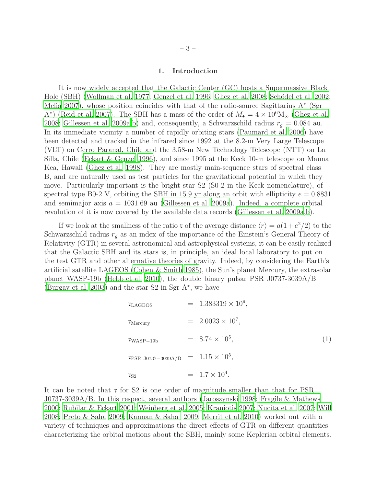# 1. Introduction

It is now widely accepted that the Galactic Center (GC) hosts a Supermassive Black Hole (SBH) [\(Wollman et al. 1977;](#page-22-0) [Genzel et al. 1996;](#page-20-0) [Ghez et al. 2008;](#page-20-1) Schödel et al. 2002; [Melia 2007](#page-21-0)), whose position coincides with that of the radio-source Sagittarius A<sup>∗</sup> (Sgr A<sup>\*</sup>) [\(Reid et al. 2007\)](#page-22-2). The SBH has a mass of the order of  $M_{\bullet} = 4 \times 10^6$ M<sub>☉</sub> [\(Ghez et al.](#page-20-1) [2008;](#page-20-1) [Gillessen et al. 2009a](#page-20-2)[,b\)](#page-20-3) and, consequently, a Schwarzschild radius  $r_q = 0.084$  au. In its immediate vicinity a number of rapidly orbiting stars [\(Paumard et](#page-21-1) al. [2006\)](#page-21-1) have been detected and tracked in the infrared since 1992 at the 8.2-m Very Large Telescope (VLT) on Cerro Paranal, Chile and the 3.58-m New Technology Telescope (NTT) on La Silla, Chile [\(Eckart & Genzel 1996\)](#page-19-0), and since 1995 at the Keck 10-m telescope on Mauna Kea, Hawaii [\(Ghez et al. 1998](#page-20-4)). They are mostly main-sequence stars of spectral class B, and are naturally used as test particles for the gravitational potential in which they move. Particularly important is the bright star S2 (S0-2 in the Keck nomenclature), of spectral type B0-2 V, orbiting the SBH in 15.9 yr along an orbit with ellipticity  $e = 0.8831$ and semimajor axis  $a = 1031.69$  au [\(Gillessen et al. 2009a\)](#page-20-2). Indeed, a complete orbital revolution of it is now covered by the available data records [\(Gillessen](#page-20-2) et al. [2009a](#page-20-2)[,b](#page-20-3)).

If we look at the smallness of the ratio **r** of the average distance  $\langle r \rangle = a(1 + e^2/2)$  to the Schwarzschild radius  $r_g$  as an index of the importance of the Einstein's General Theory of Relativity (GTR) in several astronomical and astrophysical systems, it can be easily realized that the Galactic SBH and its stars is, in principle, an ideal local laboratory to put on the test GTR and other alternative theories of gravity. Indeed, by considering the Earth's artificial satellite LAGEOS [\(Cohen & Smith 1985](#page-19-1)), the Sun's planet Mercury, the extrasolar planet WASP-19b [\(Hebb et al. 2010\)](#page-20-5), the double binary pulsar PSR J0737-3039A/B [\(Burgay et al. 2003\)](#page-19-2) and the star S2 in Sgr A<sup>∗</sup> , we have

| $\mathfrak{r}_{\text{LAGEOS}}$                                   | $= 1.383319 \times 10^9,$ |     |
|------------------------------------------------------------------|---------------------------|-----|
| $\mathfrak{r}_{\text{Mercury}}$                                  | $= 2.0023 \times 10^7$ ,  |     |
| $v_{\rm WASP-19b}$                                               | $= 8.74 \times 10^5$ ,    | (1) |
| $\mathfrak{r}_{\mathrm{PSR\ J0737-3039A/B}} = 1.15 \times 10^5,$ |                           |     |
| $\mathfrak{r}_{\mathrm{S2}}$                                     | $= 1.7 \times 10^4$ .     |     |

It can be noted that  $\mathfrak{r}$  for S2 is one order of magnitude smaller than that for PSR J0737-3039A/B. In this respect, several authors [\(Jaroszynski 1998;](#page-20-6) [Fragile & Mathews](#page-19-3) [2000;](#page-19-3) [Rubilar & Eckart 2001;](#page-22-3) [Weinberg et al. 2005;](#page-22-4) [Kraniotis 2007;](#page-20-7) [Nucita et al. 2007](#page-21-2); [Will](#page-22-5) [2008;](#page-22-5) [Preto & Saha 2009;](#page-21-3) [Kannan & Saha 2009;](#page-20-8) [Merrit et al. 2010\)](#page-21-4) worked out with a variety of techniques and approximations the direct effects of GTR on different quantities characterizing the orbital motions about the SBH, mainly some Keplerian orbital elements.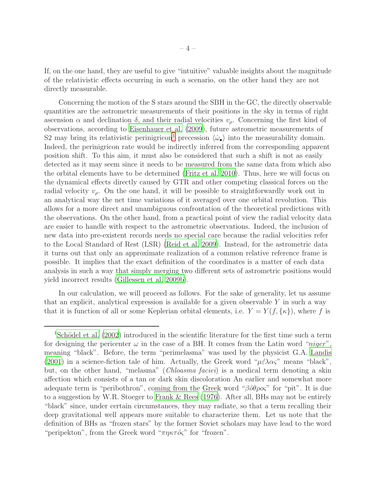If, on the one hand, they are useful to give "intuitive" valuable insights about the magnitude of the relativistic effects occurring in such a scenario, on the other hand they are not directly measurable.

Concerning the motion of the S stars around the SBH in the GC, the directly observable quantities are the astrometric measurements of their positions in the sky in terms of right ascension  $\alpha$  and declination  $\delta$ , and their radial velocities  $v_{\rho}$ . Concerning the first kind of observations, according to [Eisenhauer et al. \(2009\)](#page-19-4), future astrometric measurements of S2 may bring its relativistic perinigricon<sup>[1](#page-3-0)</sup> precession  $\langle \dot{\omega}_{\bullet} \rangle$  into the measurability domain. Indeed, the perinigricon rate would be indirectly inferred from the corresponding apparent position shift. To this aim, it must also be considered that such a shift is not as easily detected as it may seem since it needs to be measured from the same data from which also the orbital elements have to be determined [\(Fritz et al. 2010](#page-20-9)). Thus, here we will focus on the dynamical effects directly caused by GTR and other competing classical forces on the radial velocity  $v_{\rho}$ . On the one hand, it will be possible to straightforwardly work out in an analytical way the net time variations of it averaged over one orbital revolution. This allows for a more direct and unambiguous confrontation of the theoretical predictions with the observations. On the other hand, from a practical point of view the radial velocity data are easier to handle with respect to the astrometric observations. Indeed, the inclusion of new data into pre-existent records needs no special care because the radial velocities refer to the Local Standard of Rest (LSR) [\(Reid et al. 2009\)](#page-22-6). Instead, for the astrometric data it turns out that only an approximate realization of a common relative reference frame is possible. It implies that the exact definition of the coordinates is a matter of each data analysis in such a way that simply merging two different sets of astrometric positions would yield incorrect results [\(Gillessen et al. 2009b\)](#page-20-3).

In our calculation, we will proceed as follows. For the sake of generality, let us assume that an explicit, analytical expression is available for a given observable  $Y$  in such a way that it is function of all or some Keplerian orbital elements, i.e.  $Y = Y(f, \{\kappa\})$ , where f is

<span id="page-3-0"></span><sup>&</sup>lt;sup>1</sup>Schödel et al. (2002) introduced in the scientific literature for the first time such a term for designing the pericenter  $\omega$  in the case of a BH. It comes from the Latin word "niger", meaning "black". Before, the term "perimelasma" was used by the physicist G.A. [Landis](#page-21-5) [\(2001\)](#page-21-5) in a science-fiction tale of him. Actually, the Greek word " $\mu \epsilon \lambda \alpha \zeta$ " means "black", but, on the other hand, "melasma" (*Chloasma faciei*) is a medical term denoting a skin affection which consists of a tan or dark skin discoloration An earlier and somewhat more adequate term is "peribothron", coming from the Greek word "βόθρος" for "pit". It is due to a suggestion by W.R. Stoeger to [Frank & Rees \(1976](#page-19-5)). After all, BHs may not be entirely "black" since, under certain circumstances, they may radiate, so that a term recalling their deep gravitational well appears more suitable to characterize them. Let us note that the definition of BHs as "frozen stars" by the former Soviet scholars may have lead to the word "peripekton", from the Greek word " $\pi \eta \kappa \tau \delta \zeta$ " for "frozen".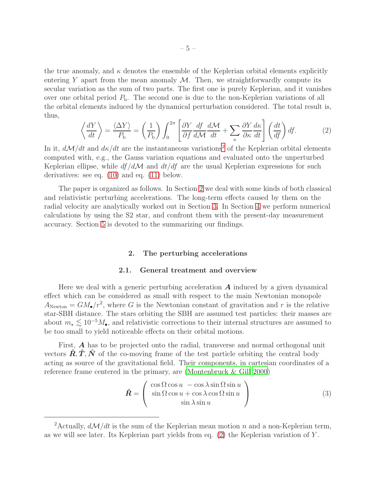the true anomaly, and  $\kappa$  denotes the ensemble of the Keplerian orbital elements explicitly entering Y apart from the mean anomaly  $\mathcal M$ . Then, we straightforwardly compute its secular variation as the sum of two parts. The first one is purely Keplerian, and it vanishes over one orbital period  $P<sub>b</sub>$ . The second one is due to the non-Keplerian variations of all the orbital elements induced by the dynamical perturbation considered. The total result is, thus,

<span id="page-4-2"></span>
$$
\left\langle \frac{dY}{dt} \right\rangle = \frac{\langle \Delta Y \rangle}{P_{\text{b}}} = \left(\frac{1}{P_{\text{b}}} \right) \int_{0}^{2\pi} \left[ \frac{\partial Y}{\partial f} \frac{df}{d\mathcal{M}} \frac{d\mathcal{M}}{dt} + \sum_{\kappa} \frac{\partial Y}{\partial \kappa} \frac{d\kappa}{dt} \right] \left( \frac{dt}{df} \right) df. \tag{2}
$$

In it,  $d\mathcal{M}/dt$  and  $d\kappa/dt$  are the instantaneous variations<sup>[2](#page-4-0)</sup> of the Keplerian orbital elements computed with, e.g., the Gauss variation equations and evaluated onto the unperturbed Keplerian ellipse, while  $df/d\mathcal{M}$  and  $dt/df$  are the usual Keplerian expressions for such derivatives: see eq. [\(10\)](#page-6-0) and eq. [\(11\)](#page-6-1) below.

The paper is organized as follows. In Section [2](#page-4-1) we deal with some kinds of both classical and relativistic perturbing accelerations. The long-term effects caused by them on the radial velocity are analytically worked out in Section [3.](#page-11-0) In Section [4](#page-15-0) we perform numerical calculations by using the S2 star, and confront them with the present-day measurement accuracy. Section [5](#page-16-0) is devoted to the summarizing our findings.

# 2. The perturbing accelerations

## 2.1. General treatment and overview

<span id="page-4-1"></span>Here we deal with a generic perturbing acceleration  $\boldsymbol{A}$  induced by a given dynamical effect which can be considered as small with respect to the main Newtonian monopole  $A_{\text{Newton}} = GM_{\bullet}/r^2$ , where G is the Newtonian constant of gravitation and r is the relative star-SBH distance. The stars orbiting the SBH are assumed test particles: their masses are about  $m_{\star} \lesssim 10^{-5} M_{\bullet}$ , and relativistic corrections to their internal structures are assumed to be too small to yield noticeable effects on their orbital motions.

First, A has to be projected onto the radial, transverse and normal orthogonal unit vectors  $\ddot{\bm{R}}, \ddot{\bm{T}}, \ddot{\bm{N}}$  of the co-moving frame of the test particle orbiting the central body acting as source of the gravitational field. Their components, in cartesian coordinates of a reference frame centered in the primary, are [\(Montenbruck & Gill](#page-21-6) [2000\)](#page-21-6)

<span id="page-4-3"></span>
$$
\hat{\mathbf{R}} = \begin{pmatrix}\n\cos \Omega \cos u & -\cos \lambda \sin \Omega \sin u \\
\sin \Omega \cos u + \cos \lambda \cos \Omega \sin u \\
\sin \lambda \sin u\n\end{pmatrix}
$$
\n(3)

<span id="page-4-0"></span><sup>&</sup>lt;sup>2</sup>Actually,  $d\mathcal{M}/dt$  is the sum of the Keplerian mean motion n and a non-Keplerian term, as we will see later. Its Keplerian part yields from eq.  $(2)$  the Keplerian variation of Y.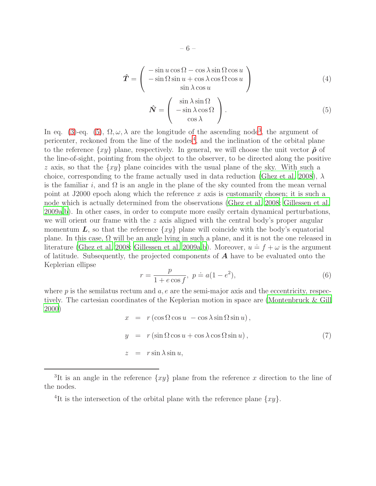<span id="page-5-4"></span>
$$
\hat{T} = \begin{pmatrix}\n-\sin u \cos \Omega - \cos \lambda \sin \Omega \cos u \\
-\sin \Omega \sin u + \cos \lambda \cos \Omega \cos u \\
\sin \lambda \cos u\n\end{pmatrix}
$$
\n(4)

<span id="page-5-0"></span>
$$
\hat{\mathbf{N}} = \begin{pmatrix} \sin \lambda \sin \Omega \\ -\sin \lambda \cos \Omega \\ \cos \lambda \end{pmatrix}.
$$
 (5)

In eq. [\(3\)](#page-4-3)-eq. [\(5\)](#page-5-0),  $\Omega, \omega, \lambda$  are the longitude of the ascending node<sup>[3](#page-5-1)</sup>, the argument of pericenter, reckoned from the line of the nodes<sup>[4](#page-5-2)</sup>, and the inclination of the orbital plane to the reference  $\{xy\}$  plane, respectively. In general, we will choose the unit vector  $\hat{\rho}$  of the line-of-sight, pointing from the object to the observer, to be directed along the positive z axis, so that the  $\{xy\}$  plane coincides with the usual plane of the sky. With such a choice, corresponding to the frame actually used in data reduction [\(Ghez et al. 2008\)](#page-20-1),  $\lambda$ is the familiar i, and  $\Omega$  is an angle in the plane of the sky counted from the mean vernal point at J2000 epoch along which the reference x axis is customarily chosen; it is such a node which is actually determined from the observations [\(Ghez et al.](#page-20-1) [2008;](#page-20-1) [Gillessen et al.](#page-20-2) [2009a](#page-20-2)[,b](#page-20-3)). In other cases, in order to compute more easily certain dynamical perturbations, we will orient our frame with the  $z$  axis aligned with the central body's proper angular momentum  $L$ , so that the reference  $\{xy\}$  plane will coincide with the body's equatorial plane. In this case,  $\Omega$  will be an angle lying in such a plane, and it is not the one released in literature [\(Ghez et al. 2008](#page-20-1); [Gillessen et al. 2009a](#page-20-2)[,b](#page-20-3)). Moreover,  $u = f + \omega$  is the argument of latitude. Subsequently, the projected components of  $A$  have to be evaluated onto the Keplerian ellipse

$$
r = \frac{p}{1 + e \cos f}, \ p \doteq a(1 - e^2), \tag{6}
$$

where  $p$  is the semilatus rectum and  $a, e$  are the semi-major axis and the eccentricity, respectively. The cartesian coordinates of the Keplerian motion in space are [\(Montenbruck & Gill](#page-21-6) [2000\)](#page-21-6)

<span id="page-5-3"></span>
$$
x = r (\cos \Omega \cos u - \cos \lambda \sin \Omega \sin u),
$$
  
\n
$$
y = r (\sin \Omega \cos u + \cos \lambda \cos \Omega \sin u),
$$
  
\n
$$
z = r \sin \lambda \sin u,
$$
\n(7)

<sup>&</sup>lt;sup>3</sup>It is an angle in the reference  $\{xy\}$  plane from the reference x direction to the line of the nodes.

<span id="page-5-2"></span><span id="page-5-1"></span><sup>&</sup>lt;sup>4</sup>It is the intersection of the orbital plane with the reference plane  $\{xy\}$ .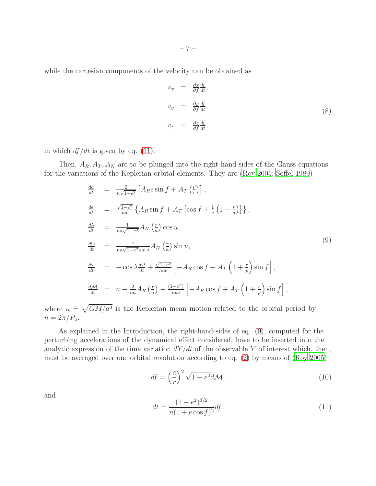while the cartesian components of the velocity can be obtained as

$$
v_x = \frac{\partial x}{\partial f} \frac{df}{dt},
$$
  
\n
$$
v_y = \frac{\partial y}{\partial f} \frac{df}{dt},
$$
  
\n
$$
v_z = \frac{\partial z}{\partial f} \frac{df}{dt},
$$
  
\n(8)

in which  $df/dt$  is given by eq. [\(11\)](#page-6-1).

Then,  $A_R$ ,  $A_T$ ,  $A_N$  are to be plunged into the right-hand-sides of the Gauss equations for the variations of the Keplerian orbital elements. They are [\(Roy](#page-22-7) [2005;](#page-22-7) [Soffel 1989\)](#page-22-8)

<span id="page-6-2"></span>
$$
\frac{da}{dt} = \frac{2}{n\sqrt{1-e^2}} \left[ A_R e \sin f + A_T \left( \frac{p}{r} \right) \right],
$$
\n
$$
\frac{de}{dt} = \frac{\sqrt{1-e^2}}{na} \left\{ A_R \sin f + A_T \left[ \cos f + \frac{1}{e} \left( 1 - \frac{r}{a} \right) \right] \right\},
$$
\n
$$
\frac{d\lambda}{dt} = \frac{1}{na\sqrt{1-e^2}} A_N \left( \frac{r}{a} \right) \cos u,
$$
\n
$$
\frac{d\Omega}{dt} = \frac{1}{na\sqrt{1-e^2} \sin \lambda} A_N \left( \frac{r}{a} \right) \sin u,
$$
\n
$$
\frac{d\omega}{dt} = -\cos \lambda \frac{d\Omega}{dt} + \frac{\sqrt{1-e^2}}{nae} \left[ -A_R \cos f + A_T \left( 1 + \frac{r}{p} \right) \sin f \right],
$$
\n
$$
\frac{dM}{dt} = n - \frac{2}{na} A_R \left( \frac{r}{a} \right) - \frac{(1-e^2)}{nae} \left[ -A_R \cos f + A_T \left( 1 + \frac{r}{p} \right) \sin f \right],
$$
\n(9)

where  $n = \sqrt{GM/a^3}$  is the Keplerian mean motion related to the orbital period by  $n = 2\pi/P_{\rm b}$ .

As explained in the Introduction, the right-hand-sides of eq. [\(9\)](#page-6-2), computed for the perturbing accelerations of the dynamical effect considered, have to be inserted into the analytic expression of the time variation  $dY/dt$  of the observable Y of interest which, then, must be averaged over one orbital revolution according to eq. [\(2\)](#page-4-2) by means of [\(Roy 2005](#page-22-7))

<span id="page-6-0"></span>
$$
df = \left(\frac{a}{r}\right)^2 \sqrt{1 - e^2} d\mathcal{M},\tag{10}
$$

and

<span id="page-6-1"></span>
$$
dt = \frac{(1 - e^2)^{3/2}}{n(1 + e \cos f)^2} df.
$$
\n(11)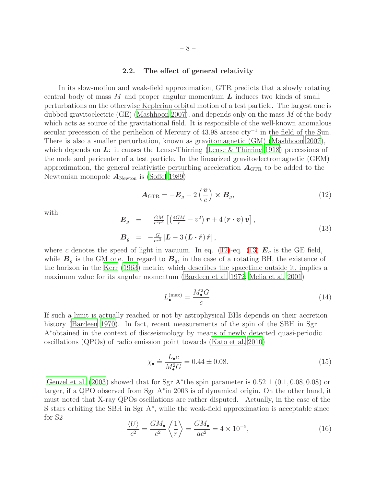# 2.2. The effect of general relativity

In its slow-motion and weak-field approximation, GTR predicts that a slowly rotating central body of mass  $M$  and proper angular momentum  $\bm{L}$  induces two kinds of small perturbations on the otherwise Keplerian orbital motion of a test particle. The largest one is dubbed gravitoelectric (GE) [\(Mashhoon 2007\)](#page-21-7), and depends only on the mass  $M$  of the body which acts as source of the gravitational field. It is responsible of the well-known anomalous secular precession of the perihelion of Mercury of 43.98 arcsec cty<sup>-1</sup> in the field of the Sun. There is also a smaller perturbation, known as gravitomagnetic (GM) [\(Mashhoon 2007\)](#page-21-7), which depends on  $\boldsymbol{L}$ : it causes the Lense-Thirring [\(Lense & Thirring 1918](#page-21-8)) precessions of the node and pericenter of a test particle. In the linearized gravitoelectromagnetic (GEM) approximation, the general relativistic perturbing acceleration  $A_{\text{GTR}}$  to be added to the Newtonian monopole  $A_{\text{Newton}}$  is [\(Soffel 1989](#page-22-8))

<span id="page-7-0"></span>
$$
\boldsymbol{A}_{\text{GTR}} = -\boldsymbol{E}_g - 2\left(\frac{\boldsymbol{v}}{c}\right) \times \boldsymbol{B}_g,\tag{12}
$$

with

<span id="page-7-1"></span>
$$
\mathbf{E}_{g} = -\frac{GM}{c^{2}r^{3}} \left[ \left( \frac{4GM}{r} - v^{2} \right) \mathbf{r} + 4 \left( \mathbf{r} \cdot \mathbf{v} \right) \mathbf{v} \right],
$$
\n
$$
\mathbf{B}_{g} = -\frac{G}{cr^{3}} \left[ \mathbf{L} - 3 \left( \mathbf{L} \cdot \hat{\mathbf{r}} \right) \hat{\mathbf{r}} \right],
$$
\n(13)

where c denotes the speed of light in vacuum. In eq. [\(12\)](#page-7-0)-eq. [\(13\)](#page-7-1)  $E<sub>g</sub>$  is the GE field, while  $B<sub>g</sub>$  is the GM one. In regard to  $B<sub>g</sub>$ , in the case of a rotating BH, the existence of the horizon in the [Kerr \(1963](#page-20-10)) metric, which describes the spacetime outside it, implies a maximum value for its angular momentum [\(Bardeen et al. 1972;](#page-19-6) [Melia et](#page-21-9) al. [2001\)](#page-21-9)

$$
L_{\bullet}^{\text{(max)}} = \frac{M_{\bullet}^2 G}{c}.
$$
\n(14)

If such a limit is actually reached or not by astrophysical BHs depends on their accretion history [\(Bardeen 1970](#page-19-7)). In fact, recent measurements of the spin of the SBH in Sgr A∗obtained in the context of discseismology by means of newly detected quasi-periodic oscillations (QPOs) of radio emission point towards [\(Kato et al. 2010](#page-20-11))

<span id="page-7-2"></span>
$$
\chi_{\bullet} \doteq \frac{L_{\bullet}c}{M_{\bullet}^2G} = 0.44 \pm 0.08. \tag{15}
$$

[Genzel et al. \(2003](#page-20-12)) showed that for Sgr A\*the spin parameter is  $0.52 \pm (0.1, 0.08, 0.08)$  or larger, if a QPO observed from Sgr A<sup>∗</sup> in 2003 is of dynamical origin. On the other hand, it must noted that X-ray QPOs oscillations are rather disputed. Actually, in the case of the S stars orbiting the SBH in Sgr A<sup>∗</sup> , while the weak-field approximation is acceptable since for S2

$$
\frac{\langle U \rangle}{c^2} = \frac{GM_{\bullet}}{c^2} \left\langle \frac{1}{r} \right\rangle = \frac{GM_{\bullet}}{ac^2} = 4 \times 10^{-5},\tag{16}
$$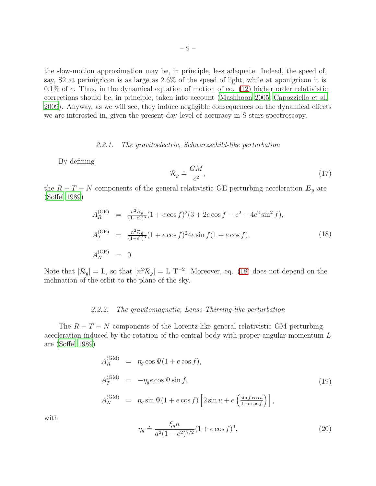the slow-motion approximation may be, in principle, less adequate. Indeed, the speed of, say, S2 at perinigricon is as large as 2.6% of the speed of light, while at aponigricon it is  $0.1\%$  of c. Thus, in the dynamical equation of motion of eq.  $(12)$  higher order relativistic corrections should be, in principle, taken into account [\(Mashhoon 2005;](#page-21-10) [Capozziello et al.](#page-19-8) [2009\)](#page-19-8). Anyway, as we will see, they induce negligible consequences on the dynamical effects we are interested in, given the present-day level of accuracy in S stars spectroscopy.

# 2.2.1. The gravitoelectric, Schwarzschild-like perturbation

By defining

$$
\mathcal{R}_g \doteq \frac{GM}{c^2},\tag{17}
$$

the  $R - T - N$  components of the general relativistic GE perturbing acceleration  $E<sub>g</sub>$  are [\(Soffel 1989\)](#page-22-8)

<span id="page-8-0"></span>
$$
A_R^{\text{(GE)}} = \frac{n^2 \mathcal{R}_g}{(1 - e^2)^3} (1 + e \cos f)^2 (3 + 2e \cos f - e^2 + 4e^2 \sin^2 f),
$$
  
\n
$$
A_T^{\text{(GE)}} = \frac{n^2 \mathcal{R}_g}{(1 - e^2)^3} (1 + e \cos f)^2 4e \sin f (1 + e \cos f),
$$
  
\n
$$
A_N^{\text{(GE)}} = 0.
$$
\n(18)

Note that  $[\mathcal{R}_g] = L$ , so that  $[n^2 \mathcal{R}_g] = L T^{-2}$ . Moreover, eq. [\(18\)](#page-8-0) does not depend on the inclination of the orbit to the plane of the sky.

#### 2.2.2. The gravitomagnetic, Lense-Thirring-like perturbation

The  $R - T - N$  components of the Lorentz-like general relativistic GM perturbing acceleration induced by the rotation of the central body with proper angular momentum L are [\(Soffel 1989\)](#page-22-8)

<span id="page-8-1"></span>
$$
A_R^{\text{(GM)}} = \eta_g \cos \Psi (1 + e \cos f),
$$
  
\n
$$
A_T^{\text{(GM)}} = -\eta_g e \cos \Psi \sin f,
$$
  
\n
$$
A_N^{\text{(GM)}} = \eta_g \sin \Psi (1 + e \cos f) \left[ 2 \sin u + e \left( \frac{\sin f \cos u}{1 + e \cos f} \right) \right],
$$
\n(19)

with

$$
\eta_g \doteq \frac{\xi_g n}{a^2 (1 - e^2)^{7/2}} (1 + e \cos f)^3,\tag{20}
$$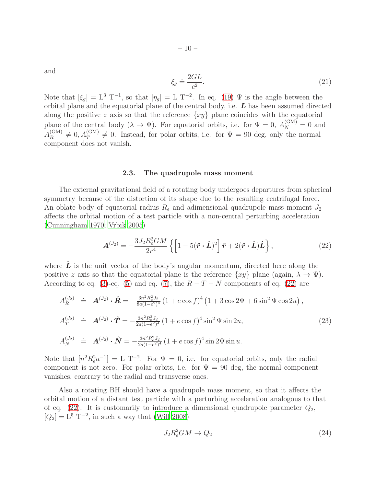and

$$
\xi_g \doteq \frac{2GL}{c^2}.\tag{21}
$$

Note that  $[\xi_g] = L^3 T^{-1}$ , so that  $[\eta_g] = L T^{-2}$ . In eq. [\(19\)](#page-8-1)  $\Psi$  is the angle between the orbital plane and the equatorial plane of the central body, i.e.  $L$  has been assumed directed along the positive z axis so that the reference  $\{xy\}$  plane coincides with the equatorial plane of the central body  $(\lambda \to \Psi)$ . For equatorial orbits, i.e. for  $\Psi = 0$ ,  $A_N^{(\text{GM})} = 0$  and  $A_R^{\rm (GM)}$  $R_R^{\text{(GM)}} \neq 0, A_T^{\text{(GM)}} \neq 0$ . Instead, for polar orbits, i.e. for  $\Psi = 90$  deg, only the normal component does not vanish.

## 2.3. The quadrupole mass moment

The external gravitational field of a rotating body undergoes departures from spherical symmetry because of the distortion of its shape due to the resulting centrifugal force. An oblate body of equatorial radius  $R_e$  and adimensional quadrupole mass moment  $J_2$ affects the orbital motion of a test particle with a non-central perturbing acceleration [\(Cunningham 1970;](#page-19-9) [Vrbik 2005](#page-22-9))

<span id="page-9-0"></span>
$$
\mathbf{A}^{(J_2)} = -\frac{3J_2 R_e^2 G M}{2r^4} \left\{ \left[ 1 - 5(\hat{\mathbf{r}} \cdot \hat{\mathbf{L}})^2 \right] \hat{\mathbf{r}} + 2(\hat{\mathbf{r}} \cdot \hat{\mathbf{L}}) \hat{\mathbf{L}} \right\},\tag{22}
$$

where  $\hat{L}$  is the unit vector of the body's angular momentum, directed here along the positive z axis so that the equatorial plane is the reference  $\{xy\}$  plane (again,  $\lambda \to \Psi$ ). According to eq. [\(3\)](#page-4-3)-eq. [\(5\)](#page-5-0) and eq. [\(7\)](#page-5-3), the  $R - T - N$  components of eq. [\(22\)](#page-9-0) are

<span id="page-9-1"></span>
$$
A_R^{(J_2)} \doteq A^{(J_2)} \cdot \hat{\mathbf{R}} = -\frac{3n^2 R_e^2 J_2}{8a(1-e^2)^4} (1 + e \cos f)^4 (1 + 3 \cos 2\Psi + 6 \sin^2 \Psi \cos 2u),
$$
  
\n
$$
A_T^{(J_2)} \doteq A^{(J_2)} \cdot \hat{\mathbf{T}} = -\frac{3n^2 R_e^2 J_2}{2a(1-e^2)^4} (1 + e \cos f)^4 \sin^2 \Psi \sin 2u,
$$
  
\n
$$
A_N^{(J_2)} \doteq A^{(J_2)} \cdot \hat{\mathbf{N}} = -\frac{3n^2 R_e^2 J_2}{2a(1-e^2)^4} (1 + e \cos f)^4 \sin 2\Psi \sin u.
$$
\n(23)

Note that  $[n^2 R_e^2 a^{-1}] = L T^{-2}$ . For  $\Psi = 0$ , i.e. for equatorial orbits, only the radial component is not zero. For polar orbits, i.e. for  $\Psi = 90$  deg, the normal component vanishes, contrary to the radial and transverse ones.

Also a rotating BH should have a quadrupole mass moment, so that it affects the orbital motion of a distant test particle with a perturbing acceleration analogous to that of eq. [\(22\)](#page-9-0). It is customarily to introduce a dimensional quadrupole parameter  $Q_2$ ,  $[Q_2] = L^5 T^{-2}$ , in such a way that [\(Will 2008\)](#page-22-5)

$$
J_2 R_e^2 G M \to Q_2 \tag{24}
$$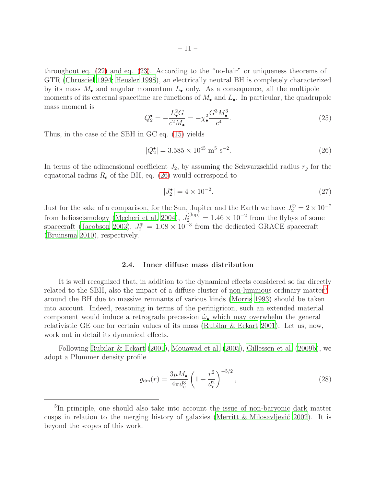throughout eq. [\(22\)](#page-9-0) and eq. [\(23\)](#page-9-1). According to the "no-hair" or uniqueness theorems of GTR [\(Chrusciel 1994;](#page-19-10) [Heusler 1998](#page-20-13)), an electrically neutral BH is completely characterized by its mass  $M_{\bullet}$  and angular momentum  $L_{\bullet}$  only. As a consequence, all the multipole moments of its external spacetime are functions of  $M_{\bullet}$  and  $L_{\bullet}$ . In particular, the quadrupole mass moment is

$$
Q_2^{\bullet} = -\frac{L_{\bullet}^2 G}{c^2 M_{\bullet}} = -\chi_{\bullet}^2 \frac{G^3 M_{\bullet}^3}{c^4}.
$$
\n(25)

Thus, in the case of the SBH in GC eq. [\(15\)](#page-7-2) yields

<span id="page-10-0"></span>
$$
|Q_2^{\bullet}| = 3.585 \times 10^{45} \text{ m}^5 \text{ s}^{-2}.
$$
 (26)

In terms of the adimensional coefficient  $J_2$ , by assuming the Schwarzschild radius  $r_g$  for the equatorial radius  $R_e$  of the BH, eq. [\(26\)](#page-10-0) would correspond to

$$
|J_2^{\bullet}| = 4 \times 10^{-2}.\tag{27}
$$

Just for the sake of a comparison, for the Sun, Jupiter and the Earth we have  $J_2^{\odot} = 2 \times 10^{-7}$ from helioseismology [\(Mecheri et al. 2004\)](#page-21-11),  $J_2^{\text{(Jup)}} = 1.46 \times 10^{-2}$  from the flybys of some spacecraft [\(Jacobson 2003\)](#page-20-14),  $J_2^{\oplus} = 1.08 \times 10^{-3}$  from the dedicated GRACE spacecraft [\(Bruinsma 2010](#page-19-11)), respectively.

## 2.4. Inner diffuse mass distribution

It is well recognized that, in addition to the dynamical effects considered so far directly related to the SBH, also the impact of a diffuse cluster of non-luminous ordinary matter<sup>[5](#page-10-1)</sup> around the BH due to massive remnants of various kinds [\(Morris 1993](#page-21-12)) should be taken into account. Indeed, reasoning in terms of the perinigricon, such an extended material component would induce a retrograde precession  $\dot{\omega}_{\bullet}$  which may overwhelm the general relativistic GE one for certain values of its mass [\(Rubilar & Eckart 2001](#page-22-3)). Let us, now, work out in detail its dynamical effects.

Following [Rubilar & Eckart \(2001](#page-22-3)), [Mouawad et al. \(2005](#page-21-13)), [Gillessen et](#page-20-3) al. [\(2009b](#page-20-3)), we adopt a Plummer density profile

$$
\varrho_{\rm dm}(r) = \frac{3\mu M_{\bullet}}{4\pi d_{\rm c}^3} \left(1 + \frac{r^2}{d_{\rm c}^2}\right)^{-5/2},\tag{28}
$$

<span id="page-10-1"></span><sup>&</sup>lt;sup>5</sup>In principle, one should also take into account the issue of non-baryonic dark matter cusps in relation to the merging history of galaxies (Merritt & Milosavljević 2002). It is beyond the scopes of this work.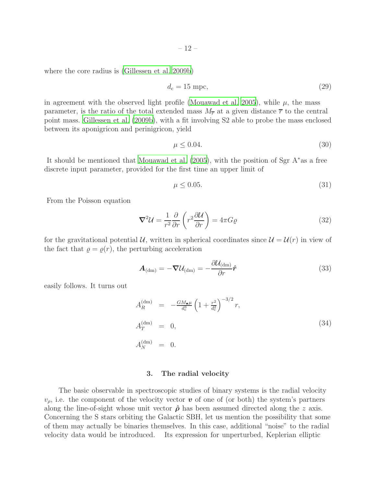where the core radius is [\(Gillessen et al. 2009b](#page-20-3))

<span id="page-11-2"></span>
$$
d_{\rm c} = 15 \text{ mpc},\tag{29}
$$

in agreement with the observed light profile [\(Mouawad et al. 2005\)](#page-21-13), while  $\mu$ , the mass parameter, is the ratio of the total extended mass  $M_{\overline{r}}$  at a given distance  $\overline{r}$  to the central point mass. [Gillessen et al. \(2009b\)](#page-20-3), with a fit involving S2 able to probe the mass enclosed between its aponigricon and perinigricon, yield

$$
\mu \le 0.04.\tag{30}
$$

It should be mentioned that [Mouawad et al. \(2005\)](#page-21-13), with the position of Sgr A∗as a free discrete input parameter, provided for the first time an upper limit of

$$
\mu \le 0.05. \tag{31}
$$

From the Poisson equation

$$
\nabla^2 \mathcal{U} = \frac{1}{r^2} \frac{\partial}{\partial r} \left( r^2 \frac{\partial \mathcal{U}}{\partial r} \right) = 4\pi G \varrho \tag{32}
$$

for the gravitational potential U, written in spherical coordinates since  $\mathcal{U} = \mathcal{U}(r)$  in view of the fact that  $\rho = \rho(r)$ , the perturbing acceleration

$$
\boldsymbol{A}_{(\text{dm})} = -\boldsymbol{\nabla} \mathcal{U}_{(\text{dm})} = -\frac{\partial \mathcal{U}_{(\text{dm})}}{\partial r} \hat{\boldsymbol{r}}
$$
(33)

easily follows. It turns out

<span id="page-11-1"></span>
$$
A_R^{(\text{dm})} = -\frac{GM_{\bullet}\mu}{d_c^3} \left(1 + \frac{r^2}{d_c^2}\right)^{-3/2} r,
$$
  
\n
$$
A_T^{(\text{dm})} = 0,
$$
\n(34)  
\n
$$
A_N^{(\text{dm})} = 0.
$$

#### 3. The radial velocity

<span id="page-11-0"></span>The basic observable in spectroscopic studies of binary systems is the radial velocity  $v_{\rho}$ , i.e. the component of the velocity vector  $\boldsymbol{v}$  of one of (or both) the system's partners along the line-of-sight whose unit vector  $\hat{\rho}$  has been assumed directed along the z axis. Concerning the S stars orbiting the Galactic SBH, let us mention the possibility that some of them may actually be binaries themselves. In this case, additional "noise" to the radial velocity data would be introduced. Its expression for unperturbed, Keplerian elliptic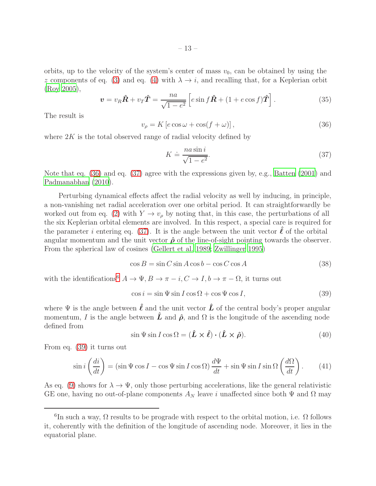orbits, up to the velocity of the system's center of mass  $v_0$ , can be obtained by using the z components of eq. [\(3\)](#page-4-3) and eq. [\(4\)](#page-5-4) with  $\lambda \to i$ , and recalling that, for a Keplerian orbit [\(Roy 2005](#page-22-7)),

$$
\boldsymbol{v} = v_R \hat{\boldsymbol{R}} + v_T \hat{\boldsymbol{T}} = \frac{na}{\sqrt{1 - e^2}} \left[ e \sin f \hat{\boldsymbol{R}} + (1 + e \cos f) \hat{\boldsymbol{T}} \right]. \tag{35}
$$

The result is

<span id="page-12-0"></span>
$$
v_{\rho} = K \left[ e \cos \omega + \cos(f + \omega) \right],\tag{36}
$$

where  $2K$  is the total observed range of radial velocity defined by

<span id="page-12-1"></span>
$$
K \doteq \frac{na \sin i}{\sqrt{1 - e^2}}.\tag{37}
$$

Note that eq. [\(36\)](#page-12-0) and eq. [\(37\)](#page-12-1) agree with the expressions given by, e.g., [Batten \(2001\)](#page-19-12) and [Padmanabhan \(2010](#page-21-15)).

Perturbing dynamical effects affect the radial velocity as well by inducing, in principle, a non-vanishing net radial acceleration over one orbital period. It can straightforwardly be worked out from eq. [\(2\)](#page-4-2) with  $Y \to v_{\rho}$  by noting that, in this case, the perturbations of all the six Keplerian orbital elements are involved. In this respect, a special care is required for the parameter i entering eq. [\(37\)](#page-12-1). It is the angle between the unit vector  $\ell$  of the orbital angular momentum and the unit vector  $\hat{\rho}$  of the line-of-sight pointing towards the observer. From the spherical law of cosines [\(Gellert et al. 1989](#page-20-15); [Zwillinger 1995\)](#page-22-10)

$$
\cos B = \sin C \sin A \cos b - \cos C \cos A \tag{38}
$$

with the identifications<sup>[6](#page-12-2)</sup>  $A \to \Psi, B \to \pi - i, C \to I, b \to \pi - \Omega$ , it turns out

<span id="page-12-3"></span>
$$
\cos i = \sin \Psi \sin I \cos \Omega + \cos \Psi \cos I,\tag{39}
$$

where  $\Psi$  is the angle between  $\hat{\ell}$  and the unit vector  $\hat{L}$  of the central body's proper angular momentum, I is the angle between  $\hat{L}$  and  $\hat{\rho}$ , and  $\Omega$  is the longitude of the ascending node defined from

$$
\sin\Psi\sin I\cos\Omega = (\hat{\boldsymbol{L}}\times\hat{\boldsymbol{\ell}})\cdot(\hat{\boldsymbol{L}}\times\hat{\boldsymbol{\rho}}). \tag{40}
$$

From eq. [\(39\)](#page-12-3) it turns out

$$
\sin i \left( \frac{di}{dt} \right) = (\sin \Psi \cos I - \cos \Psi \sin I \cos \Omega) \frac{d\Psi}{dt} + \sin \Psi \sin I \sin \Omega \left( \frac{d\Omega}{dt} \right). \tag{41}
$$

As eq. [\(9\)](#page-6-2) shows for  $\lambda \to \Psi$ , only those perturbing accelerations, like the general relativistic GE one, having no out-of-plane components  $A_N$  leave i unaffected since both  $\Psi$  and  $\Omega$  may

<span id="page-12-2"></span><sup>&</sup>lt;sup>6</sup>In such a way, Ω results to be prograde with respect to the orbital motion, i.e. Ω follows it, coherently with the definition of the longitude of ascending node. Moreover, it lies in the equatorial plane.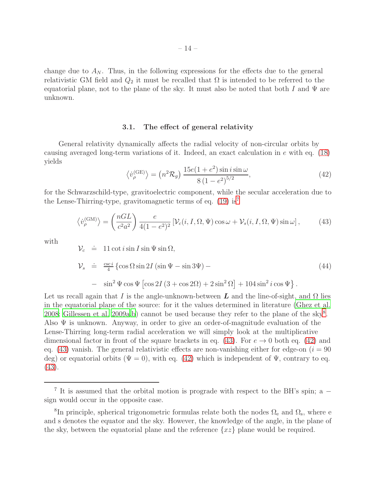change due to  $A_N$ . Thus, in the following expressions for the effects due to the general relativistic GM field and  $Q_2$  it must be recalled that  $\Omega$  is intended to be referred to the equatorial plane, not to the plane of the sky. It must also be noted that both I and  $\Psi$  are unknown.

# 3.1. The effect of general relativity

General relativity dynamically affects the radial velocity of non-circular orbits by causing averaged long-term variations of it. Indeed, an exact calculation in e with eq. [\(18\)](#page-8-0) yields

<span id="page-13-3"></span>
$$
\langle \dot{v}_{\rho}^{(\text{GE})} \rangle = (n^2 \mathcal{R}_g) \frac{15e(1+e^2)\sin i \sin \omega}{8(1-e^2)^{5/2}},
$$
\n(42)

for the Schwarzschild-type, gravitoelectric component, while the secular acceleration due to the Lense-Thirring-type, gravitomagnetic terms of eq.  $(19)$  is<sup>[7](#page-13-0)</sup>

<span id="page-13-2"></span>
$$
\langle \dot{v}_{\rho}^{(\text{GM})} \rangle = \left( \frac{nGL}{c^2 a^2} \right) \frac{e}{4(1 - e^2)^2} \left[ \mathcal{V}_c(i, I, \Omega, \Psi) \cos \omega + \mathcal{V}_s(i, I, \Omega, \Psi) \sin \omega \right],\tag{43}
$$

with

 $\lambda$ 

$$
\mathcal{V}_c \doteq 11 \cot i \sin I \sin \Psi \sin \Omega,
$$
  
\n
$$
\mathcal{V}_s \doteq \frac{\csc i}{4} \left\{ \cos \Omega \sin 2I \left( \sin \Psi - \sin 3\Psi \right) - \right\}
$$
  
\n
$$
- \sin^2 \Psi \cos \Psi \left[ \cos 2I \left( 3 + \cos 2\Omega \right) + 2 \sin^2 \Omega \right] + 104 \sin^2 i \cos \Psi \right\}.
$$
\n(44)

Let us recall again that I is the angle-unknown-between L and the line-of-sight, and  $\Omega$  lies in the equatorial plane of the source: for it the values determined in literature [\(Ghez et al.](#page-20-1) [2008;](#page-20-1) [Gillessen et al. 2009a](#page-20-2)[,b\)](#page-20-3) cannot be used because they refer to the plane of the sky<sup>[8](#page-13-1)</sup>. Also  $\Psi$  is unknown. Anyway, in order to give an order-of-magnitude evaluation of the Lense-Thirring long-term radial acceleration we will simply look at the multiplicative dimensional factor in front of the square brackets in eq. [\(43\)](#page-13-2). For  $e \to 0$  both eq. [\(42\)](#page-13-3) and eq. [\(43\)](#page-13-2) vanish. The general relativistic effects are non-vanishing either for edge-on  $(i = 90$ deg) or equatorial orbits ( $\Psi = 0$ ), with eq. [\(42\)](#page-13-3) which is independent of  $\Psi$ , contrary to eq. [\(43\)](#page-13-2).

<span id="page-13-0"></span><sup>&</sup>lt;sup>7</sup> It is assumed that the orbital motion is prograde with respect to the BH's spin; a − sign would occur in the opposite case.

<span id="page-13-1"></span><sup>&</sup>lt;sup>8</sup>In principle, spherical trigonometric formulas relate both the nodes  $\Omega_e$  and  $\Omega_s$ , where e and s denotes the equator and the sky. However, the knowledge of the angle, in the plane of the sky, between the equatorial plane and the reference  $\{xz\}$  plane would be required.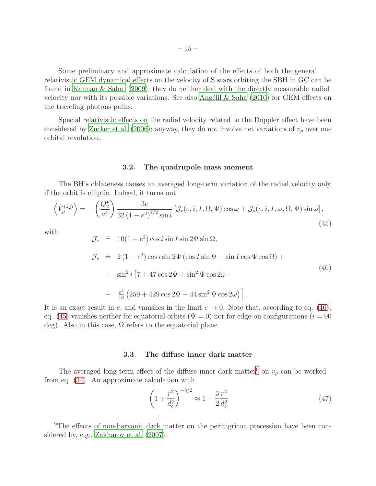Some preliminary and approximate calculation of the effects of both the general relativistic GEM dynamical effects on the velocity of S stars orbiting the SBH in GC can be found in [Kannan & Saha \(2009\)](#page-20-8); they do neither deal with the directly measurable radial velocity nor with its possible variations. See also Angélil & Saha  $(2010)$  for GEM effects on the traveling photons paths.

Special relativistic effects on the radial velocity related to the Doppler effect have been considered by [Zucker et al. \(2006\)](#page-22-11); anyway, they do not involve net variations of  $v<sub>\rho</sub>$  over one orbital revolution.

#### 3.2. The quadrupole mass moment

The BH's oblateness causes an averaged long-term variation of the radial velocity only if the orbit is elliptic. Indeed, it turns out

<span id="page-14-1"></span>
$$
\left\langle \dot{V}_{\rho}^{(J_2)} \right\rangle = -\left( \frac{Q_2^{\bullet}}{a^4} \right) \frac{3e}{32\left(1 - e^2\right)^{7/2} \sin i} \left[ \mathcal{J}_c(e, i, I, \Omega, \Psi) \cos \omega + \mathcal{J}_s(e, i, I, \omega, \Omega, \Psi) \sin \omega \right],\tag{45}
$$

with

<span id="page-14-0"></span>
$$
\mathcal{J}_c \doteq 10(1 - e^2) \cos i \sin I \sin 2\Psi \sin \Omega,
$$
  
\n
$$
\mathcal{J}_s \doteq 2(1 - e^2) \cos i \sin 2\Psi (\cos I \sin \Psi - \sin I \cos \Psi \cos \Omega) + \sin^2 i [7 + 47 \cos 2\Psi + \sin^2 \Psi \cos 2\omega - \frac{e^2}{16} (259 + 429 \cos 2\Psi - 44 \sin^2 \Psi \cos 2\omega)]
$$
 (46)

It is an exact result in e, and vanishes in the limit  $e \to 0$ . Note that, according to eq. [\(46\)](#page-14-0), eq. [\(45\)](#page-14-1) vanishes neither for equatorial orbits ( $\Psi = 0$ ) nor for edge-on configurations ( $i = 90$ ) deg). Also in this case,  $\Omega$  refers to the equatorial plane.

## 3.3. The diffuse inner dark matter

The averaged long-term effect of the diffuse inner dark matter<sup>[9](#page-14-2)</sup> on  $\dot{v}_\rho$  can be worked from eq. [\(34\)](#page-11-1). An approximate calculation with

<span id="page-14-3"></span>
$$
\left(1 + \frac{r^2}{d_c^2}\right)^{-3/2} \approx 1 - \frac{3}{2} \frac{r^2}{d_c^2} \tag{47}
$$

<span id="page-14-2"></span><sup>&</sup>lt;sup>9</sup>The effects of non-baryonic dark matter on the perinigricon precession have been considered by, e.g., [Zakharov et al. \(2007\)](#page-22-12).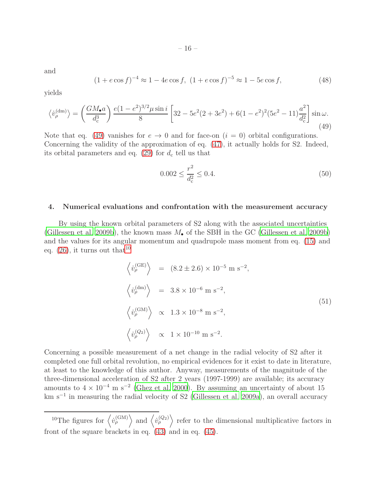and

$$
(1 + e \cos f)^{-4} \approx 1 - 4e \cos f, \ (1 + e \cos f)^{-5} \approx 1 - 5e \cos f,\tag{48}
$$

yields

<span id="page-15-1"></span>
$$
\left\langle \dot{v}_{\rho}^{(\text{dm})} \right\rangle = \left( \frac{GM_{\bullet}a}{d_{\text{c}}^3} \right) \frac{e(1 - e^2)^{3/2} \mu \sin i}{8} \left[ 32 - 5e^2(2 + 3e^2) + 6(1 - e^2)^2(5e^2 - 11) \frac{a^2}{d_{\text{c}}^2} \right] \sin \omega. \tag{49}
$$

Note that eq. [\(49\)](#page-15-1) vanishes for  $e \to 0$  and for face-on  $(i = 0)$  orbital configurations. Concerning the validity of the approximation of eq. [\(47\)](#page-14-3), it actually holds for S2. Indeed, its orbital parameters and eq.  $(29)$  for  $d_c$  tell us that

$$
0.002 \le \frac{r^2}{d_c^2} \le 0.4. \tag{50}
$$

#### <span id="page-15-0"></span>4. Numerical evaluations and confrontation with the measurement accuracy

By using the known orbital parameters of S2 along with the associated uncertainties [\(Gillessen et al. 2009b\)](#page-20-3), the known mass  $M_{\bullet}$  of the SBH in the GC [\(Gillessen et al. 2009b\)](#page-20-3) and the values for its angular momentum and quadrupole mass moment from eq. [\(15\)](#page-7-2) and eq.  $(26)$ , it turns out that<sup>[10](#page-22-13)</sup>

$$
\langle \dot{v}_{\rho}^{\text{(GE)}} \rangle = (8.2 \pm 2.6) \times 10^{-5} \text{ m s}^{-2},
$$
  

$$
\langle \dot{v}_{\rho}^{\text{(dm)}} \rangle = 3.8 \times 10^{-6} \text{ m s}^{-2},
$$
  

$$
\langle \dot{v}_{\rho}^{\text{(GM)}} \rangle \propto 1.3 \times 10^{-8} \text{ m s}^{-2},
$$
  

$$
\langle \dot{v}_{\rho}^{\text{(Q2)}} \rangle \propto 1 \times 10^{-10} \text{ m s}^{-2}.
$$
 (51)

Concerning a possible measurement of a net change in the radial velocity of S2 after it completed one full orbital revolution, no empirical evidences for it exist to date in literature, at least to the knowledge of this author. Anyway, measurements of the magnitude of the three-dimensional acceleration of S2 after 2 years (1997-1999) are available; its accuracy amounts to  $4 \times 10^{-4}$  m s<sup>-2</sup> [\(Ghez et al. 2000\)](#page-20-16). By assuming an uncertainty of about 15 km s−<sup>1</sup> in measuring the radial velocity of S2 [\(Gillessen et al. 2009a\)](#page-20-2), an overall accuracy

<sup>&</sup>lt;sup>10</sup>The figures for  $\langle \dot{v}_\rho^{(\text{GM})} \rangle$  and  $\langle \dot{v}_\rho^{(Q_2)} \rangle$  refer to the dimensional multiplicative factors in front of the square brackets in eq. [\(43\)](#page-13-2) and in eq. [\(45\)](#page-14-1).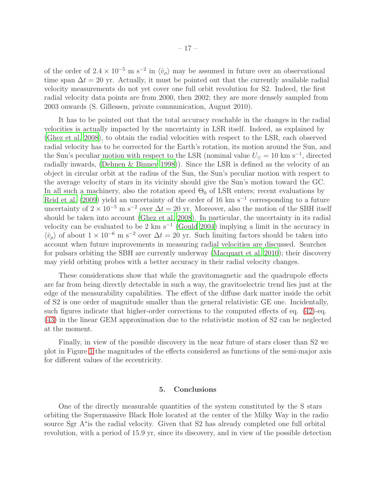of the order of  $2.4 \times 10^{-5}$  m s<sup>-2</sup> in  $\langle \dot{v}_{\rho} \rangle$  may be assumed in future over an observational time span  $\Delta t = 20$  yr. Actually, it must be pointed out that the currently available radial velocity measurements do not yet cover one full orbit revolution for S2. Indeed, the first radial velocity data points are from 2000, then 2002; they are more densely sampled from 2003 onwards (S. Gillessen, private communication, August 2010).

It has to be pointed out that the total accuracy reachable in the changes in the radial velocities is actually impacted by the uncertainty in LSR itself. Indeed, as explained by [\(Ghez et al. 2008](#page-20-1)), to obtain the radial velocities with respect to the LSR, each observed radial velocity has to be corrected for the Earth's rotation, its motion around the Sun, and the Sun's peculiar motion with respect to the LSR (nominal value  $U_{\odot} = 10 \text{ km s}^{-1}$ , directed radially inwards, [\(Dehnen & Binney 1998\)](#page-19-14)). Since the LSR is defined as the velocity of an object in circular orbit at the radius of the Sun, the Sun's peculiar motion with respect to the average velocity of stars in its vicinity should give the Sun's motion toward the GC. In all such a machinery, also the rotation speed  $\Theta_0$  of LSR enters; recent evaluations by [Reid et al. \(2009\)](#page-22-6) yield an uncertainty of the order of 16 km s<sup>-1</sup> corresponding to a future uncertainty of  $2 \times 10^{-5}$  m s<sup>-2</sup> over  $\Delta t = 20$  yr. Moreover, also the motion of the SBH itself should be taken into account [\(Ghez et al. 2008](#page-20-1)). In particular, the uncertainty in its radial velocity can be evaluated to be 2 km s<sup>-1</sup> [\(Gould 2004](#page-20-17)) implying a limit in the accuracy in  $\langle v_{\rho} \rangle$  of about  $1 \times 10^{-6}$  m s<sup>-2</sup> over  $\Delta t = 20$  yr. Such limiting factors should be taken into account when future improvements in measuring radial velocities are discussed. Searches for pulsars orbiting the SBH are currently underway [\(Macquart et](#page-21-16) al. [2010\)](#page-21-16); their discovery may yield orbiting probes with a better accuracy in their radial velocity changes.

These considerations show that while the gravitomagnetic and the quadrupole effects are far from being directly detectable in such a way, the gravitoelectric trend lies just at the edge of the measurability capabilities. The effect of the diffuse dark matter inside the orbit of S2 is one order of magnitude smaller than the general relativistic GE one. Incidentally, such figures indicate that higher-order corrections to the computed effects of eq. [\(42\)](#page-13-3)-eq. [\(43\)](#page-13-2) in the linear GEM approximation due to the relativistic motion of S2 can be neglected at the moment.

Finally, in view of the possible discovery in the near future of stars closer than S2 we plot in Figure [1](#page-17-0) the magnitudes of the effects considered as functions of the semi-major axis for different values of the eccentricity.

# 5. Conclusions

<span id="page-16-0"></span>One of the directly measurable quantities of the system constituted by the S stars orbiting the Supermassive Black Hole located at the center of the Milky Way in the radio source Sgr A<sup>\*</sup> is the radial velocity. Given that S2 has already completed one full orbital revolution, with a period of 15.9 yr, since its discovery, and in view of the possible detection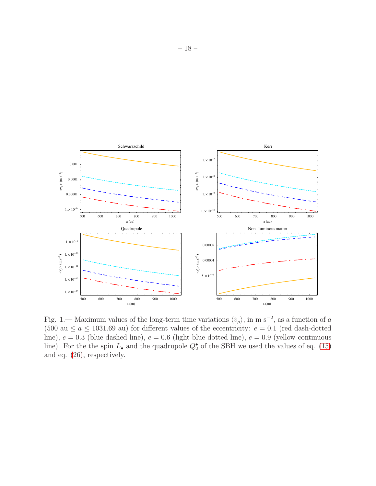

<span id="page-17-0"></span>Fig. 1.— Maximum values of the long-term time variations  $\langle \dot{v}_{\rho} \rangle$ , in m s<sup>-2</sup>, as a function of a (500 au  $\le a \le 1031.69$  au) for different values of the eccentricity:  $e = 0.1$  (red dash-dotted line),  $e = 0.3$  (blue dashed line),  $e = 0.6$  (light blue dotted line),  $e = 0.9$  (yellow continuous line). For the the spin  $L_{\bullet}$  and the quadrupole  $Q_{2}^{\bullet}$  of the SBH we used the values of eq. [\(15\)](#page-7-2) and eq. [\(26\)](#page-10-0), respectively.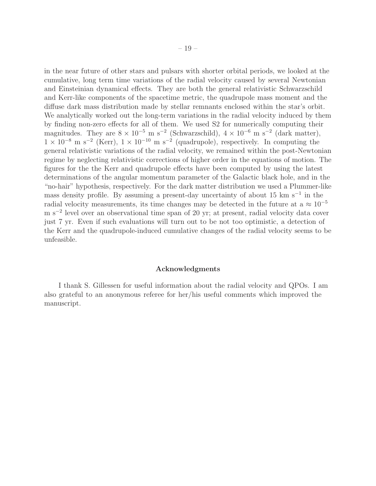in the near future of other stars and pulsars with shorter orbital periods, we looked at the cumulative, long term time variations of the radial velocity caused by several Newtonian and Einsteinian dynamical effects. They are both the general relativistic Schwarzschild and Kerr-like components of the spacetime metric, the quadrupole mass moment and the diffuse dark mass distribution made by stellar remnants enclosed within the star's orbit. We analytically worked out the long-term variations in the radial velocity induced by them by finding non-zero effects for all of them. We used S2 for numerically computing their magnitudes. They are  $8 \times 10^{-5}$  m s<sup>-2</sup> (Schwarzschild),  $4 \times 10^{-6}$  m s<sup>-2</sup> (dark matter),  $1 \times 10^{-8}$  m s<sup>-2</sup> (Kerr),  $1 \times 10^{-10}$  m s<sup>-2</sup> (quadrupole), respectively. In computing the general relativistic variations of the radial velocity, we remained within the post-Newtonian regime by neglecting relativistic corrections of higher order in the equations of motion. The figures for the the Kerr and quadrupole effects have been computed by using the latest determinations of the angular momentum parameter of the Galactic black hole, and in the "no-hair" hypothesis, respectively. For the dark matter distribution we used a Plummer-like mass density profile. By assuming a present-day uncertainty of about 15 km s<sup>-1</sup> in the radial velocity measurements, its time changes may be detected in the future at a  $\approx 10^{-5}$ m s−<sup>2</sup> level over an observational time span of 20 yr; at present, radial velocity data cover just 7 yr. Even if such evaluations will turn out to be not too optimistic, a detection of the Kerr and the quadrupole-induced cumulative changes of the radial velocity seems to be unfeasible.

#### Acknowledgments

I thank S. Gillessen for useful information about the radial velocity and QPOs. I am also grateful to an anonymous referee for her/his useful comments which improved the manuscript.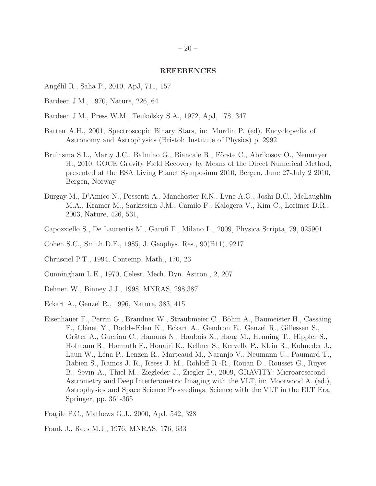#### REFERENCES

- <span id="page-19-13"></span>Angélil R., Saha P., 2010, ApJ, 711, 157
- <span id="page-19-7"></span>Bardeen J.M., 1970, Nature, 226, 64
- <span id="page-19-6"></span>Bardeen J.M., Press W.M., Teukolsky S.A., 1972, ApJ, 178, 347
- <span id="page-19-12"></span>Batten A.H., 2001, Spectroscopic Binary Stars, in: Murdin P. (ed). Encyclopedia of Astronomy and Astrophysics (Bristol: Institute of Physics) p. 2992
- <span id="page-19-11"></span>Bruinsma S.L., Marty J.C., Balmino G., Biancale R., Förste C., Abrikosov O., Neumayer H., 2010, GOCE Gravity Field Recovery by Means of the Direct Numerical Method, presented at the ESA Living Planet Symposium 2010, Bergen, June 27-July 2 2010, Bergen, Norway
- <span id="page-19-2"></span>Burgay M., D'Amico N., Possenti A., Manchester R.N., Lyne A.G., Joshi B.C., McLaughlin M.A., Kramer M., Sarkissian J.M., Camilo F., Kalogera V., Kim C., Lorimer D.R., 2003, Nature, 426, 531,
- <span id="page-19-8"></span>Capozziello S., De Laurentis M., Garufi F., Milano L., 2009, Physica Scripta, 79, 025901
- <span id="page-19-1"></span>Cohen S.C., Smith D.E., 1985, J. Geophys. Res., 90(B11), 9217
- <span id="page-19-10"></span>Chrusciel P.T., 1994, Contemp. Math., 170, 23
- <span id="page-19-9"></span>Cunningham L.E., 1970, Celest. Mech. Dyn. Astron., 2, 207
- <span id="page-19-14"></span>Dehnen W., Binney J.J., 1998, MNRAS, 298,387
- <span id="page-19-0"></span>Eckart A., Genzel R., 1996, Nature, 383, 415
- <span id="page-19-4"></span>Eisenhauer F., Perrin G., Brandner W., Straubmeier C., Böhm A., Baumeister H., Cassaing F., Clénet Y., Dodds-Eden K., Eckart A., Gendron E., Genzel R., Gillessen S., Gräter A., Gueriau C., Hamaus N., Haubois X., Haug M., Henning T., Hippler S., Hofmann R., Hormuth F., Houairi K., Kellner S., Kervella P., Klein R., Kolmeder J., Laun W., Léna P., Lenzen R., Marteaud M., Naranjo V., Neumann U., Paumard T., Rabien S., Ramos J. R., Reess J. M., Rohloff R.-R., Rouan D., Rousset G., Ruyet B., Sevin A., Thiel M., Ziegleder J., Ziegler D., 2009, GRAVITY: Microarcsecond Astrometry and Deep Interferometric Imaging with the VLT, in: Moorwood A. (ed.), Astrophysics and Space Science Proceedings. Science with the VLT in the ELT Era, Springer, pp. 361-365
- <span id="page-19-3"></span>Fragile P.C., Mathews G.J., 2000, ApJ, 542, 328
- <span id="page-19-5"></span>Frank J., Rees M.J., 1976, MNRAS, 176, 633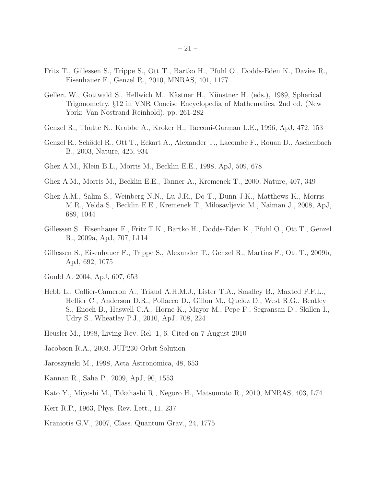- <span id="page-20-9"></span>Fritz T., Gillessen S., Trippe S., Ott T., Bartko H., Pfuhl O., Dodds-Eden K., Davies R., Eisenhauer F., Genzel R., 2010, MNRAS, 401, 1177
- <span id="page-20-15"></span>Gellert W., Gottwald S., Hellwich M., Kästner H., Künstner H. (eds.), 1989, Spherical Trigonometry. §12 in VNR Concise Encyclopedia of Mathematics, 2nd ed. (New York: Van Nostrand Reinhold), pp. 261-282
- <span id="page-20-0"></span>Genzel R., Thatte N., Krabbe A., Kroker H., Tacconi-Garman L.E., 1996, ApJ, 472, 153
- <span id="page-20-12"></span>Genzel R., Schödel R., Ott T., Eckart A., Alexander T., Lacombe F., Rouan D., Aschenbach B., 2003, Nature, 425, 934
- <span id="page-20-4"></span>Ghez A.M., Klein B.L., Morris M., Becklin E.E., 1998, ApJ, 509, 678
- <span id="page-20-16"></span>Ghez A.M., Morris M., Becklin E.E., Tanner A., Kremenek T., 2000, Nature, 407, 349
- <span id="page-20-1"></span>Ghez A.M., Salim S., Weinberg N.N., Lu J.R., Do T., Dunn J.K., Matthews K., Morris M.R., Yelda S., Becklin E.E., Kremenek T., Milosavljevic M., Naiman J., 2008, ApJ, 689, 1044
- <span id="page-20-2"></span>Gillessen S., Eisenhauer F., Fritz T.K., Bartko H., Dodds-Eden K., Pfuhl O., Ott T., Genzel R., 2009a, ApJ, 707, L114
- <span id="page-20-3"></span>Gillessen S., Eisenhauer F., Trippe S., Alexander T., Genzel R., Martins F., Ott T., 2009b, ApJ, 692, 1075
- <span id="page-20-17"></span>Gould A. 2004, ApJ, 607, 653
- <span id="page-20-5"></span>Hebb L., Collier-Cameron A., Triaud A.H.M.J., Lister T.A., Smalley B., Maxted P.F.L., Hellier C., Anderson D.R., Pollacco D., Gillon M., Queloz D., West R.G., Bentley S., Enoch B., Haswell C.A., Horne K., Mayor M., Pepe F., Segransan D., Skillen I., Udry S., Wheatley P.J., 2010, ApJ, 708, 224
- <span id="page-20-13"></span>Heusler M., 1998, Living Rev. Rel. 1, 6. Cited on 7 August 2010
- <span id="page-20-14"></span>Jacobson R.A., 2003. JUP230 Orbit Solution
- <span id="page-20-6"></span>Jaroszynski M., 1998, Acta Astronomica, 48, 653
- <span id="page-20-8"></span>Kannan R., Saha P., 2009, ApJ, 90, 1553
- <span id="page-20-11"></span>Kato Y., Miyoshi M., Takahashi R., Negoro H., Matsumoto R., 2010, MNRAS, 403, L74
- <span id="page-20-10"></span>Kerr R.P., 1963, Phys. Rev. Lett., 11, 237
- <span id="page-20-7"></span>Kraniotis G.V., 2007, Class. Quantum Grav., 24, 1775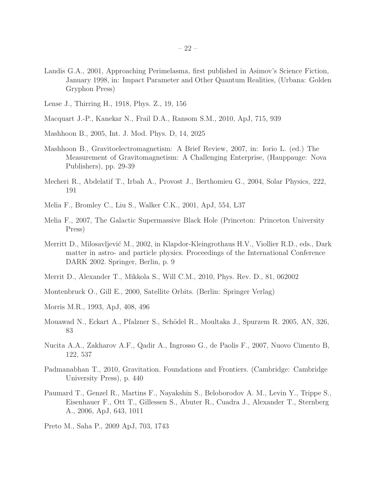- <span id="page-21-5"></span>Landis G.A., 2001, Approaching Perimelasma, first published in Asimov's Science Fiction, January 1998, in: Impact Parameter and Other Quantum Realities, (Urbana: Golden Gryphon Press)
- <span id="page-21-8"></span>Lense J., Thirring H., 1918, Phys. Z., 19, 156
- <span id="page-21-16"></span>Macquart J.-P., Kanekar N., Frail D.A., Ransom S.M., 2010, ApJ, 715, 939
- <span id="page-21-10"></span>Mashhoon B., 2005, Int. J. Mod. Phys. D, 14, 2025
- <span id="page-21-7"></span>Mashhoon B., Gravitoelectromagnetism: A Brief Review, 2007, in: Iorio L. (ed.) The Measurement of Gravitomagnetism: A Challenging Enterprise, (Hauppauge: Nova Publishers), pp. 29-39
- <span id="page-21-11"></span>Mecheri R., Abdelatif T., Irbah A., Provost J., Berthomieu G., 2004, Solar Physics, 222, 191
- <span id="page-21-9"></span>Melia F., Bromley C., Liu S., Walker C.K., 2001, ApJ, 554, L37
- <span id="page-21-0"></span>Melia F., 2007, The Galactic Supermassive Black Hole (Princeton: Princeton University Press)
- <span id="page-21-14"></span>Merritt D., Milosavljević M., 2002, in Klapdor-Kleingrothaus H.V., Viollier R.D., eds., Dark matter in astro- and particle physics. Proceedings of the International Conference DARK 2002. Springer, Berlin, p. 9
- <span id="page-21-4"></span>Merrit D., Alexander T., Mikkola S., Will C.M., 2010, Phys. Rev. D., 81, 062002
- <span id="page-21-6"></span>Montenbruck O., Gill E., 2000, Satellite Orbits. (Berlin: Springer Verlag)
- <span id="page-21-12"></span>Morris M.R., 1993, ApJ, 408, 496
- <span id="page-21-13"></span>Mouawad N., Eckart A., Pfalzner S., Schödel R., Moultaka J., Spurzem R. 2005, AN, 326, 83
- <span id="page-21-2"></span>Nucita A.A., Zakharov A.F., Qadir A., Ingrosso G., de Paolis F., 2007, Nuovo Cimento B, 122, 537
- <span id="page-21-15"></span>Padmanabhan T., 2010, Gravitation. Foundations and Frontiers. (Cambridge: Cambridge University Press), p. 440
- <span id="page-21-1"></span>Paumard T., Genzel R., Martins F., Nayakshin S., Beloborodov A. M., Levin Y., Trippe S., Eisenhauer F., Ott T., Gillessen S., Abuter R., Cuadra J., Alexander T., Sternberg A., 2006, ApJ, 643, 1011
- <span id="page-21-3"></span>Preto M., Saha P., 2009 ApJ, 703, 1743